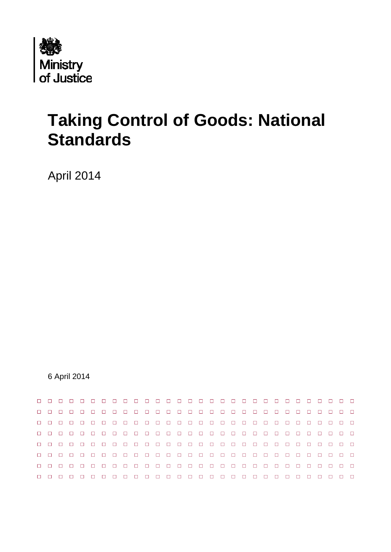

# **Taking Control of Goods: National Standards**

April 2014

6 April 2014

|        | $\Box$      | $\Box$ $\Box$ $\Box$ |        |  |  |  |   |   |   |  |  |  | $\Box$ | $\Box$ |  | $\Box$               |  |
|--------|-------------|----------------------|--------|--|--|--|---|---|---|--|--|--|--------|--------|--|----------------------|--|
|        |             | $\Box$               | $\Box$ |  |  |  |   |   |   |  |  |  | $\Box$ | $\Box$ |  | $\Box$               |  |
|        |             |                      |        |  |  |  |   |   |   |  |  |  |        |        |  |                      |  |
|        | <b>PPPP</b> |                      |        |  |  |  |   |   |   |  |  |  | $\Box$ | $\Box$ |  | $\Box$ $\Box$ $\Box$ |  |
|        |             | $\Box$               | $\Box$ |  |  |  |   |   |   |  |  |  | $\Box$ | $\Box$ |  | $\Box$               |  |
| $\Box$ |             |                      |        |  |  |  |   |   |   |  |  |  |        |        |  |                      |  |
|        |             |                      |        |  |  |  | П | п | п |  |  |  |        |        |  |                      |  |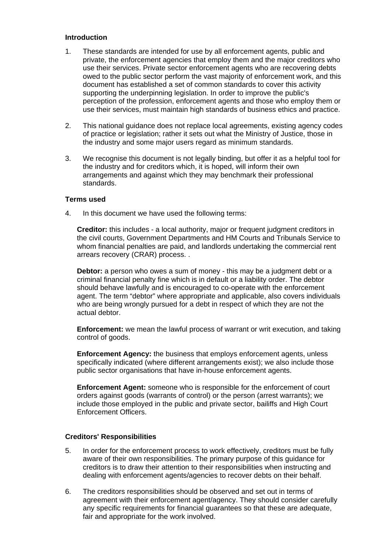#### **Introduction**

- 1. These standards are intended for use by all enforcement agents, public and private, the enforcement agencies that employ them and the major creditors who use their services. Private sector enforcement agents who are recovering debts owed to the public sector perform the vast majority of enforcement work, and this document has established a set of common standards to cover this activity supporting the underpinning legislation. In order to improve the public's perception of the profession, enforcement agents and those who employ them or use their services, must maintain high standards of business ethics and practice.
- 2. This national guidance does not replace local agreements, existing agency codes of practice or legislation; rather it sets out what the Ministry of Justice, those in the industry and some major users regard as minimum standards.
- 3. We recognise this document is not legally binding, but offer it as a helpful tool for the industry and for creditors which, it is hoped, will inform their own arrangements and against which they may benchmark their professional standards.

## **Terms used**

4. In this document we have used the following terms:

**Creditor:** this includes - a local authority, major or frequent judgment creditors in the civil courts, Government Departments and HM Courts and Tribunals Service to whom financial penalties are paid, and landlords undertaking the commercial rent arrears recovery (CRAR) process. .

**Debtor:** a person who owes a sum of money - this may be a judgment debt or a criminal financial penalty fine which is in default or a liability order. The debtor should behave lawfully and is encouraged to co-operate with the enforcement agent. The term "debtor" where appropriate and applicable, also covers individuals who are being wrongly pursued for a debt in respect of which they are not the actual debtor.

**Enforcement:** we mean the lawful process of warrant or writ execution, and taking control of goods.

**Enforcement Agency:** the business that employs enforcement agents, unless specifically indicated (where different arrangements exist); we also include those public sector organisations that have in-house enforcement agents.

**Enforcement Agent:** someone who is responsible for the enforcement of court orders against goods (warrants of control) or the person (arrest warrants); we include those employed in the public and private sector, bailiffs and High Court Enforcement Officers.

### **Creditors' Responsibilities**

- 5. In order for the enforcement process to work effectively, creditors must be fully aware of their own responsibilities. The primary purpose of this guidance for creditors is to draw their attention to their responsibilities when instructing and dealing with enforcement agents/agencies to recover debts on their behalf.
- 6. The creditors responsibilities should be observed and set out in terms of agreement with their enforcement agent/agency. They should consider carefully any specific requirements for financial guarantees so that these are adequate, fair and appropriate for the work involved.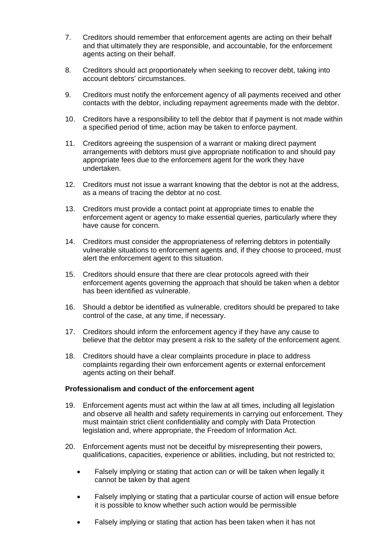- 7. Creditors should remember that enforcement agents are acting on their behalf and that ultimately they are responsible, and accountable, for the enforcement agents acting on their behalf.
- 8. Creditors should act proportionately when seeking to recover debt, taking into account debtors' circumstances.
- 9. Creditors must notify the enforcement agency of all payments received and other contacts with the debtor, including repayment agreements made with the debtor.
- 10. Creditors have a responsibility to tell the debtor that if payment is not made within a specified period of time, action may be taken to enforce payment.
- 11. Creditors agreeing the suspension of a warrant or making direct payment arrangements with debtors must give appropriate notification to and should pay appropriate fees due to the enforcement agent for the work they have undertaken.
- 12. Creditors must not issue a warrant knowing that the debtor is not at the address, as a means of tracing the debtor at no cost.
- 13. Creditors must provide a contact point at appropriate times to enable the enforcement agent or agency to make essential queries, particularly where they have cause for concern.
- 14. Creditors must consider the appropriateness of referring debtors in potentially vulnerable situations to enforcement agents and, if they choose to proceed, must alert the enforcement agent to this situation.
- 15. Creditors should ensure that there are clear protocols agreed with their enforcement agents governing the approach that should be taken when a debtor has been identified as vulnerable.
- 16. Should a debtor be identified as vulnerable, creditors should be prepared to take control of the case, at any time, if necessary.
- 17. Creditors should inform the enforcement agency if they have any cause to believe that the debtor may present a risk to the safety of the enforcement agent.
- 18. Creditors should have a clear complaints procedure in place to address complaints regarding their own enforcement agents or external enforcement agents acting on their behalf.

#### **Professionalism and conduct of the enforcement agent**

- 19. Enforcement agents must act within the law at all times, including all legislation and observe all health and safety requirements in carrying out enforcement. They must maintain strict client confidentiality and comply with Data Protection legislation and, where appropriate, the Freedom of Information Act.
- 20. Enforcement agents must not be deceitful by misrepresenting their powers, qualifications, capacities, experience or abilities, including, but not restricted to;
	- Falsely implying or stating that action can or will be taken when legally it cannot be taken by that agent
	- Falsely implying or stating that a particular course of action will ensue before it is possible to know whether such action would be permissible
	- Falsely implying or stating that action has been taken when it has not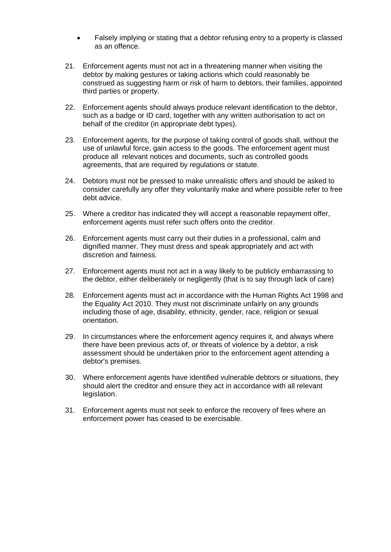- Falsely implying or stating that a debtor refusing entry to a property is classed as an offence.
- 21. Enforcement agents must not act in a threatening manner when visiting the debtor by making gestures or taking actions which could reasonably be construed as suggesting harm or risk of harm to debtors, their families, appointed third parties or property.
- 22. Enforcement agents should always produce relevant identification to the debtor, such as a badge or ID card, together with any written authorisation to act on behalf of the creditor (in appropriate debt types).
- 23. Enforcement agents, for the purpose of taking control of goods shall, without the use of unlawful force, gain access to the goods. The enforcement agent must produce all relevant notices and documents, such as controlled goods agreements, that are required by regulations or statute.
- 24. Debtors must not be pressed to make unrealistic offers and should be asked to consider carefully any offer they voluntarily make and where possible refer to free debt advice.
- 25. Where a creditor has indicated they will accept a reasonable repayment offer, enforcement agents must refer such offers onto the creditor.
- 26. Enforcement agents must carry out their duties in a professional, calm and dignified manner. They must dress and speak appropriately and act with discretion and fairness.
- 27. Enforcement agents must not act in a way likely to be publicly embarrassing to the debtor, either deliberately or negligently (that is to say through lack of care)
- 28. Enforcement agents must act in accordance with the Human Rights Act 1998 and the Equality Act 2010. They must not discriminate unfairly on any grounds including those of age, disability, ethnicity, gender, race, religion or sexual orientation.
- 29. In circumstances where the enforcement agency requires it, and always where there have been previous acts of, or threats of violence by a debtor, a risk assessment should be undertaken prior to the enforcement agent attending a debtor's premises.
- 30. Where enforcement agents have identified vulnerable debtors or situations, they should alert the creditor and ensure they act in accordance with all relevant legislation.
- 31. Enforcement agents must not seek to enforce the recovery of fees where an enforcement power has ceased to be exercisable.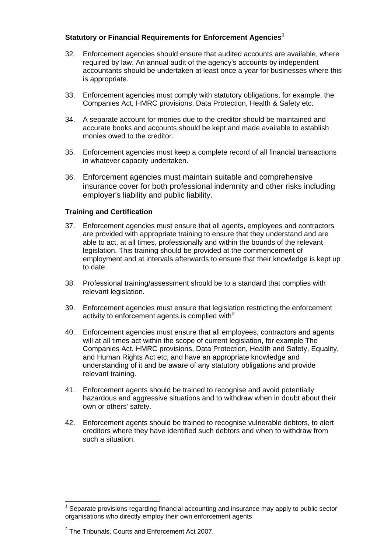# **Statutory or Financial Requirements for Enforcement Agencies[1](#page-4-0)**

- 32. Enforcement agencies should ensure that audited accounts are available, where required by law. An annual audit of the agency's accounts by independent accountants should be undertaken at least once a year for businesses where this is appropriate.
- 33. Enforcement agencies must comply with statutory obligations, for example, the Companies Act, HMRC provisions, Data Protection, Health & Safety etc.
- 34. A separate account for monies due to the creditor should be maintained and accurate books and accounts should be kept and made available to establish monies owed to the creditor.
- 35. Enforcement agencies must keep a complete record of all financial transactions in whatever capacity undertaken.
- 36. Enforcement agencies must maintain suitable and comprehensive insurance cover for both professional indemnity and other risks including employer's liability and public liability.

# **Training and Certification**

- 37. Enforcement agencies must ensure that all agents, employees and contractors are provided with appropriate training to ensure that they understand and are able to act, at all times, professionally and within the bounds of the relevant legislation. This training should be provided at the commencement of employment and at intervals afterwards to ensure that their knowledge is kept up to date.
- 38. Professional training/assessment should be to a standard that complies with relevant legislation.
- 39. Enforcement agencies must ensure that legislation restricting the enforcement activity to enforcement agents is complied with $2$
- 40. Enforcement agencies must ensure that all employees, contractors and agents will at all times act within the scope of current legislation, for example The Companies Act, HMRC provisions, Data Protection, Health and Safety, Equality, and Human Rights Act etc, and have an appropriate knowledge and understanding of it and be aware of any statutory obligations and provide relevant training.
- 41. Enforcement agents should be trained to recognise and avoid potentially hazardous and aggressive situations and to withdraw when in doubt about their own or others' safety.
- 42. Enforcement agents should be trained to recognise vulnerable debtors, to alert creditors where they have identified such debtors and when to withdraw from such a situation.

 $\overline{a}$ 

<span id="page-4-0"></span><sup>1</sup> Separate provisions regarding financial accounting and insurance may apply to public sector organisations who directly employ their own enforcement agents

<span id="page-4-1"></span> $2$  The Tribunals, Courts and Enforcement Act 2007.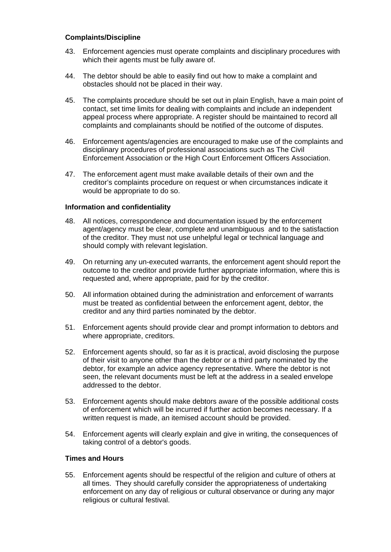## **Complaints/Discipline**

- 43. Enforcement agencies must operate complaints and disciplinary procedures with which their agents must be fully aware of.
- 44. The debtor should be able to easily find out how to make a complaint and obstacles should not be placed in their way.
- 45. The complaints procedure should be set out in plain English, have a main point of contact, set time limits for dealing with complaints and include an independent appeal process where appropriate. A register should be maintained to record all complaints and complainants should be notified of the outcome of disputes.
- 46. Enforcement agents/agencies are encouraged to make use of the complaints and disciplinary procedures of professional associations such as The Civil Enforcement Association or the High Court Enforcement Officers Association.
- 47. The enforcement agent must make available details of their own and the creditor's complaints procedure on request or when circumstances indicate it would be appropriate to do so.

# **Information and confidentiality**

- 48. All notices, correspondence and documentation issued by the enforcement agent/agency must be clear, complete and unambiguous and to the satisfaction of the creditor. They must not use unhelpful legal or technical language and should comply with relevant legislation.
- 49. On returning any un-executed warrants, the enforcement agent should report the outcome to the creditor and provide further appropriate information, where this is requested and, where appropriate, paid for by the creditor.
- 50. All information obtained during the administration and enforcement of warrants must be treated as confidential between the enforcement agent, debtor, the creditor and any third parties nominated by the debtor.
- 51. Enforcement agents should provide clear and prompt information to debtors and where appropriate, creditors.
- 52. Enforcement agents should, so far as it is practical, avoid disclosing the purpose of their visit to anyone other than the debtor or a third party nominated by the debtor, for example an advice agency representative. Where the debtor is not seen, the relevant documents must be left at the address in a sealed envelope addressed to the debtor.
- 53. Enforcement agents should make debtors aware of the possible additional costs of enforcement which will be incurred if further action becomes necessary. If a written request is made, an itemised account should be provided.
- 54. Enforcement agents will clearly explain and give in writing, the consequences of taking control of a debtor's goods.

# **Times and Hours**

55. Enforcement agents should be respectful of the religion and culture of others at all times. They should carefully consider the appropriateness of undertaking enforcement on any day of religious or cultural observance or during any major religious or cultural festival.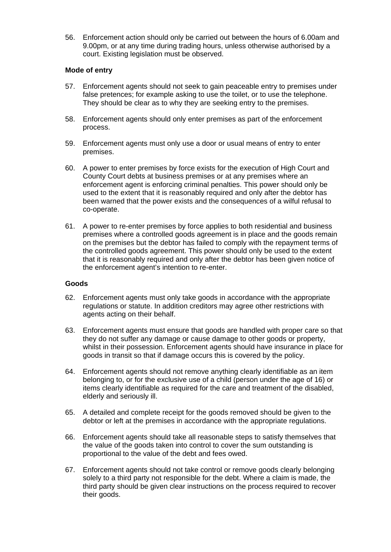56. Enforcement action should only be carried out between the hours of 6.00am and 9.00pm, or at any time during trading hours, unless otherwise authorised by a court. Existing legislation must be observed.

## **Mode of entry**

- 57. Enforcement agents should not seek to gain peaceable entry to premises under false pretences; for example asking to use the toilet, or to use the telephone. They should be clear as to why they are seeking entry to the premises.
- 58. Enforcement agents should only enter premises as part of the enforcement process.
- 59. Enforcement agents must only use a door or usual means of entry to enter premises.
- 60. A power to enter premises by force exists for the execution of High Court and County Court debts at business premises or at any premises where an enforcement agent is enforcing criminal penalties. This power should only be used to the extent that it is reasonably required and only after the debtor has been warned that the power exists and the consequences of a wilful refusal to co-operate.
- 61. A power to re-enter premises by force applies to both residential and business premises where a controlled goods agreement is in place and the goods remain on the premises but the debtor has failed to comply with the repayment terms of the controlled goods agreement. This power should only be used to the extent that it is reasonably required and only after the debtor has been given notice of the enforcement agent's intention to re-enter.

### **Goods**

- 62. Enforcement agents must only take goods in accordance with the appropriate regulations or statute. In addition creditors may agree other restrictions with agents acting on their behalf.
- 63. Enforcement agents must ensure that goods are handled with proper care so that they do not suffer any damage or cause damage to other goods or property, whilst in their possession. Enforcement agents should have insurance in place for goods in transit so that if damage occurs this is covered by the policy.
- 64. Enforcement agents should not remove anything clearly identifiable as an item belonging to, or for the exclusive use of a child (person under the age of 16) or items clearly identifiable as required for the care and treatment of the disabled, elderly and seriously ill.
- 65. A detailed and complete receipt for the goods removed should be given to the debtor or left at the premises in accordance with the appropriate regulations.
- 66. Enforcement agents should take all reasonable steps to satisfy themselves that the value of the goods taken into control to cover the sum outstanding is proportional to the value of the debt and fees owed.
- 67. Enforcement agents should not take control or remove goods clearly belonging solely to a third party not responsible for the debt. Where a claim is made, the third party should be given clear instructions on the process required to recover their goods.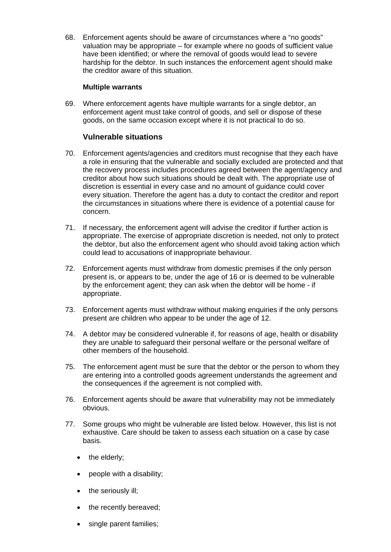68. Enforcement agents should be aware of circumstances where a "no goods" valuation may be appropriate – for example where no goods of sufficient value have been identified; or where the removal of goods would lead to severe hardship for the debtor. In such instances the enforcement agent should make the creditor aware of this situation.

## **Multiple warrants**

69. Where enforcement agents have multiple warrants for a single debtor, an enforcement agent must take control of goods, and sell or dispose of these goods, on the same occasion except where it is not practical to do so.

# **Vulnerable situations**

- 70. Enforcement agents/agencies and creditors must recognise that they each have a role in ensuring that the vulnerable and socially excluded are protected and that the recovery process includes procedures agreed between the agent/agency and creditor about how such situations should be dealt with. The appropriate use of discretion is essential in every case and no amount of guidance could cover every situation. Therefore the agent has a duty to contact the creditor and report the circumstances in situations where there is evidence of a potential cause for concern.
- 71. If necessary, the enforcement agent will advise the creditor if further action is appropriate. The exercise of appropriate discretion is needed, not only to protect the debtor, but also the enforcement agent who should avoid taking action which could lead to accusations of inappropriate behaviour.
- 72. Enforcement agents must withdraw from domestic premises if the only person present is, or appears to be, under the age of 16 or is deemed to be vulnerable by the enforcement agent; they can ask when the debtor will be home - if appropriate.
- 73. Enforcement agents must withdraw without making enquiries if the only persons present are children who appear to be under the age of 12.
- 74. A debtor may be considered vulnerable if, for reasons of age, health or disability they are unable to safeguard their personal welfare or the personal welfare of other members of the household.
- 75. The enforcement agent must be sure that the debtor or the person to whom they are entering into a controlled goods agreement understands the agreement and the consequences if the agreement is not complied with.
- 76. Enforcement agents should be aware that vulnerability may not be immediately obvious.
- 77. Some groups who might be vulnerable are listed below. However, this list is not exhaustive. Care should be taken to assess each situation on a case by case basis.
	- the elderly;
	- people with a disability;
	- the seriously ill;
	- the recently bereaved;
	- single parent families;